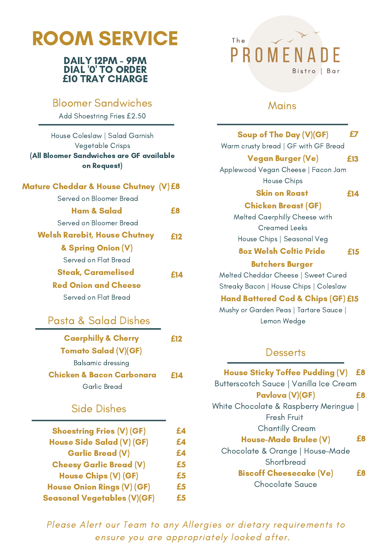# ROOM SERVICE

#### DAILY 12PM - 9PM DIAL '0' TO ORDER **£**10 TRAY CHARGE

### Bloomer Sandwiches

Add Shoestring Fries £2.50

| House Coleslaw   Salad Garnish<br>Vegetable Crisps<br>(All Bloomer Sandwiches are GF available<br>on Request) |     |
|---------------------------------------------------------------------------------------------------------------|-----|
| Mature Cheddar & House Chutney (V)£8                                                                          |     |
| Served on Bloomer Bread                                                                                       |     |
| Ham & Salad                                                                                                   | £8  |
| Served on Bloomer Bread                                                                                       |     |
| <b>Welsh Rarebit, House Chutney</b>                                                                           | £12 |
| & Spring Onion (V)                                                                                            |     |
| Served on Flat Bread                                                                                          |     |
| Steak, Caramelised                                                                                            | F14 |
| <b>Red Onion and Cheese</b>                                                                                   |     |
| Served on Flat Bread                                                                                          |     |
|                                                                                                               |     |

## Pasta & Salad Dishes

| <b>Caerphilly &amp; Cherry</b> | <b>£12</b> |
|--------------------------------|------------|
| Tomato Salad (V)(GF)           |            |
| Balsamic dressing              |            |
| Chicken & Bacon Carbonara      | <b>£14</b> |
| Garlic Bread                   |            |

### Side Dishes

| <b>Shoestring Fries (V) (GF)</b>   | £Д |
|------------------------------------|----|
| House Side Salad (V) (GF)          | £Д |
| <b>Garlic Bread (V)</b>            | £4 |
| <b>Cheesy Garlic Bread (V)</b>     | £5 |
| House Chips (V) (GF)               | £5 |
| <b>House Onion Rings (V) (GF)</b>  | £5 |
| <b>Seasonal Vegetables (V)(GF)</b> | £5 |
|                                    |    |

## The PROM Bistro | Bar

### Mains

| Soup of The Day (V)(GF)                                                                                                                                                      | £7  |
|------------------------------------------------------------------------------------------------------------------------------------------------------------------------------|-----|
| Warm crusty bread   GF with GF Bread<br><b>Vegan Burger (Ve)</b>                                                                                                             | £13 |
| Applewood Vegan Cheese   Facon Jam<br><b>House Chips</b>                                                                                                                     |     |
| Skin on Roast                                                                                                                                                                | £14 |
| <b>Chicken Breast (GF)</b><br>Melted Caerphilly Cheese with<br><b>Creamed Leeks</b>                                                                                          |     |
| House Chips   Seasonal Veg<br><b>8oz Welsh Celtic Pride</b>                                                                                                                  | £15 |
| <b>Butchers Burger</b>                                                                                                                                                       |     |
| Melted Cheddar Cheese   Sweet Cured<br>Streaky Bacon   House Chips   Coleslaw<br>Hand Battered Cod & Chips (GF) £15<br>Mushy or Garden Peas   Tartare Sauce  <br>Lemon Wedge |     |
| Desserts                                                                                                                                                                     |     |
| <b>House Sticky Toffee Pudding (V)</b>                                                                                                                                       | £8  |
| Butterscotch Sauce   Vanilla Ice Cream                                                                                                                                       |     |
| Pavlova (V)(GF)<br>White Chocolate & Raspberry Meringue  <br>Fresh Fruit                                                                                                     | £8  |
| Chantilly Cream                                                                                                                                                              |     |
| House-Made Brulee (V)<br>Chocolate & Orange   House-Made<br>Shortbread                                                                                                       | £8  |
| <b>Biscoff Cheesecake (Ve)</b><br>Chocolate Sauce                                                                                                                            | £8  |
|                                                                                                                                                                              |     |

Please Alert our Team to any Allergies or dietary requirements to ensure you are appropriately looked after.